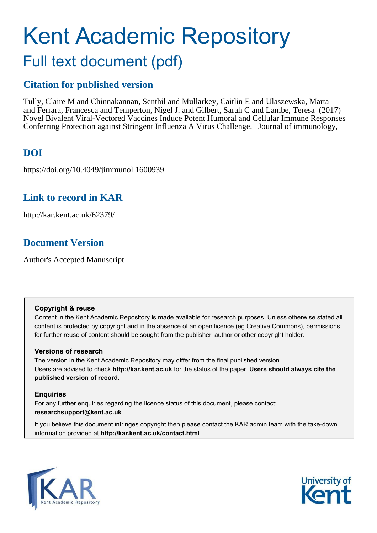# Kent Academic Repository Full text document (pdf)

### **Citation for published version**

Tully, Claire M and Chinnakannan, Senthil and Mullarkey, Caitlin E and Ulaszewska, Marta and Ferrara, Francesca and Temperton, Nigel J. and Gilbert, Sarah C and Lambe, Teresa (2017) Novel Bivalent Viral-Vectored Vaccines Induce Potent Humoral and Cellular Immune Responses Conferring Protection against Stringent Influenza A Virus Challenge. Journal of immunology,

### **DOI**

https://doi.org/10.4049/jimmunol.1600939

### **Link to record in KAR**

http://kar.kent.ac.uk/62379/

### **Document Version**

Author's Accepted Manuscript

### **Copyright & reuse**

Content in the Kent Academic Repository is made available for research purposes. Unless otherwise stated all content is protected by copyright and in the absence of an open licence (eg Creative Commons), permissions for further reuse of content should be sought from the publisher, author or other copyright holder.

### **Versions of research**

The version in the Kent Academic Repository may differ from the final published version. Users are advised to check **http://kar.kent.ac.uk** for the status of the paper. **Users should always cite the published version of record.**

### **Enquiries**

For any further enquiries regarding the licence status of this document, please contact: **researchsupport@kent.ac.uk**

If you believe this document infringes copyright then please contact the KAR admin team with the take-down information provided at **http://kar.kent.ac.uk/contact.html**



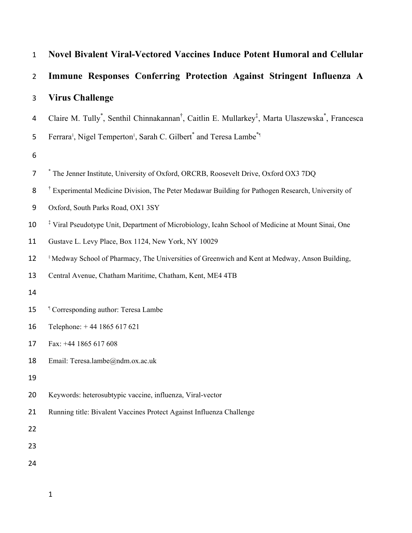| $\mathbf{1}$   | <b>Novel Bivalent Viral-Vectored Vaccines Induce Potent Humoral and Cellular</b>                                                                 |
|----------------|--------------------------------------------------------------------------------------------------------------------------------------------------|
| $\overline{2}$ | Immune Responses Conferring Protection Against Stringent Influenza A                                                                             |
| 3              | <b>Virus Challenge</b>                                                                                                                           |
| 4              | Claire M. Tully <sup>*</sup> , Senthil Chinnakannan <sup>†</sup> , Caitlin E. Mullarkey <sup>‡</sup> , Marta Ulaszewska <sup>*</sup> , Francesca |
| 5              | Ferrara <sup>§</sup> , Nigel Temperton <sup>§</sup> , Sarah C. Gilbert <sup>*</sup> and Teresa Lambe <sup>*</sup> <sup>1</sup>                   |
| 6              |                                                                                                                                                  |
| 7              | * The Jenner Institute, University of Oxford, ORCRB, Roosevelt Drive, Oxford OX3 7DQ                                                             |
| 8              | <sup>†</sup> Experimental Medicine Division, The Peter Medawar Building for Pathogen Research, University of                                     |
| 9              | Oxford, South Parks Road, OX1 3SY                                                                                                                |
| 10             | <sup>‡</sup> Viral Pseudotype Unit, Department of Microbiology, Icahn School of Medicine at Mount Sinai, One                                     |
| 11             | Gustave L. Levy Place, Box 1124, New York, NY 10029                                                                                              |
| 12             | <sup>§</sup> Medway School of Pharmacy, The Universities of Greenwich and Kent at Medway, Anson Building,                                        |
| 13             | Central Avenue, Chatham Maritime, Chatham, Kent, ME4 4TB                                                                                         |
| 14             |                                                                                                                                                  |
| 15             | <sup>1</sup> Corresponding author: Teresa Lambe                                                                                                  |
| 16             | Telephone: +44 1865 617 621                                                                                                                      |
| 17             | Fax: +44 1865 617 608                                                                                                                            |
| 18             | Email: Teresa.lambe@ndm.ox.ac.uk                                                                                                                 |
| 19             |                                                                                                                                                  |
| 20             | Keywords: heterosubtypic vaccine, influenza, Viral-vector                                                                                        |
| 21             | Running title: Bivalent Vaccines Protect Against Influenza Challenge                                                                             |
| 22             |                                                                                                                                                  |
| 23             |                                                                                                                                                  |
| 24             |                                                                                                                                                  |
|                |                                                                                                                                                  |

 $\mathbf{1}$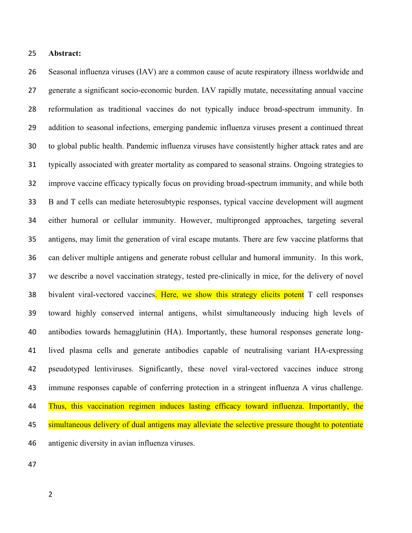### ヲヵ **Abstract:**

26 Seasonal influenza viruses (IAV) are a common cause of acute respiratory illness worldwide and 27 generate a significant socio-economic burden. IAV rapidly mutate, necessitating annual vaccine 28 reformulation as traditional vaccines do not typically induce broad-spectrum immunity. In ヲΓ addition to seasonal infections, emerging pandemic influenza viruses present a continued threat 30 to global public health. Pandemic influenza viruses have consistently higher attack rates and are 31 typically associated with greater mortality as compared to seasonal strains. Ongoing strategies to 32 improve vaccine efficacy typically focus on providing broad-spectrum immunity, and while both 33 B and T cells can mediate heterosubtypic responses, typical vaccine development will augment 34 either humoral or cellular immunity. However, multipronged approaches, targeting several 35 antigens, may limit the generation of viral escape mutants. There are few vaccine platforms that 36 can deliver multiple antigens and generate robust cellular and humoral immunity. In this work, 37 we describe a novel vaccination strategy, tested pre-clinically in mice, for the delivery of novel 38 bivalent viral-vectored vaccines. Here, we show this strategy elicits potent T cell responses ンΓ toward highly conserved internal antigens, whilst simultaneously inducing high levels of 40 antibodies towards hemagglutinin (HA). Importantly, these humoral responses generate long-41 lived plasma cells and generate antibodies capable of neutralising variant HA-expressing 42 pseudotyped lentiviruses. Significantly, these novel viral-vectored vaccines induce strong 43 immune responses capable of conferring protection in a stringent influenza A virus challenge. 44 Thus, this vaccination regimen induces lasting efficacy toward influenza. Importantly, the 45 simultaneous delivery of dual antigens may alleviate the selective pressure thought to potentiate 46 antigenic diversity in avian influenza viruses.

ヴΑ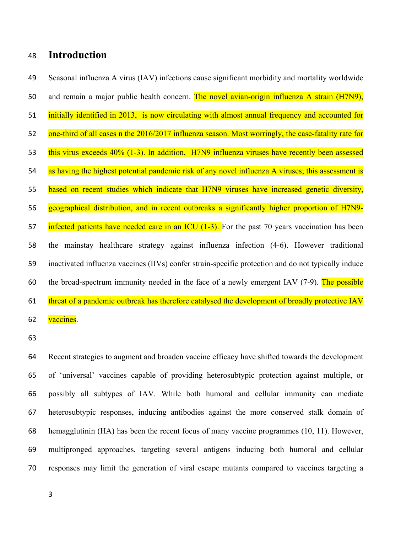#### **Introduction** 48

Seasonal influenza A virus (IAV) infections cause significant morbidity and mortality worldwide 49 50 and remain a major public health concern. The novel avian-origin influenza A strain (H7N9), initially identified in 2013, is now circulating with almost annual frequency and accounted for 51 one-third of all cases n the 2016/2017 influenza season. Most worringly, the case-fatality rate for 52 this virus exceeds 40% (1-3). In addition, H7N9 influenza viruses have recently been assessed 53 as having the highest potential pandemic risk of any novel influenza A viruses; this assessment is 54 based on recent studies which indicate that H7N9 viruses have increased genetic diversity, 55 geographical distribution, and in recent outbreaks a significantly higher proportion of H7N9-56 infected patients have needed care in an ICU  $(1-3)$ . For the past 70 years vaccination has been 57 58 the mainstay healthcare strategy against influenza infection (4-6). However traditional inactivated influenza vaccines (IIVs) confer strain-specific protection and do not typically induce 59 the broad-spectrum immunity needed in the face of a newly emergent IAV (7-9). The possible 60 61 threat of a pandemic outbreak has therefore catalysed the development of broadly protective IAV vaccines. 62

63

Recent strategies to augment and broaden vaccine efficacy have shifted towards the development 64 of 'universal' vaccines capable of providing heterosubtypic protection against multiple, or 65 possibly all subtypes of IAV. While both humoral and cellular immunity can mediate 66 heterosubtypic responses, inducing antibodies against the more conserved stalk domain of 67 hemagglutinin (HA) has been the recent focus of many vaccine programmes (10, 11). However, 68 multipronged approaches, targeting several antigens inducing both humoral and cellular 69 70 responses may limit the generation of viral escape mutants compared to vaccines targeting a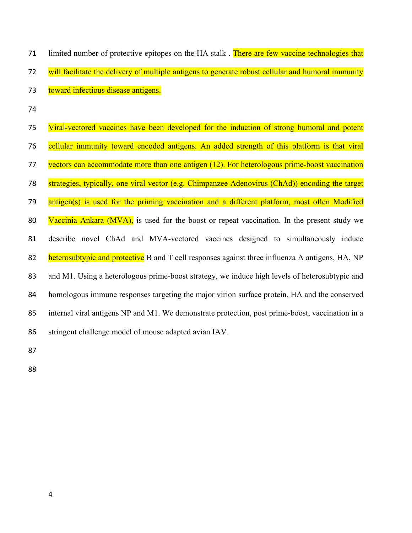| 71 | limited number of protective epitopes on the HA stalk. There are few vaccine technologies that     |
|----|----------------------------------------------------------------------------------------------------|
| 72 | will facilitate the delivery of multiple antigens to generate robust cellular and humoral immunity |
| 73 | toward infectious disease antigens.                                                                |
| 74 |                                                                                                    |
| 75 | Viral-vectored vaccines have been developed for the induction of strong humoral and potent         |
| 76 | cellular immunity toward encoded antigens. An added strength of this platform is that viral        |
| 77 | vectors can accommodate more than one antigen (12). For heterologous prime-boost vaccination       |
| 78 | strategies, typically, one viral vector (e.g. Chimpanzee Adenovirus (ChAd)) encoding the target    |
| 79 | antigen(s) is used for the priming vaccination and a different platform, most often Modified       |
| 80 | Vaccinia Ankara (MVA), is used for the boost or repeat vaccination. In the present study we        |
| 81 | describe novel ChAd and MVA-vectored vaccines designed to simultaneously induce                    |
| 82 | heterosubtypic and protective B and T cell responses against three influenza A antigens, HA, NP    |
| 83 | and M1. Using a heterologous prime-boost strategy, we induce high levels of heterosubtypic and     |
| 84 | homologous immune responses targeting the major virion surface protein, HA and the conserved       |
| 85 | internal viral antigens NP and M1. We demonstrate protection, post prime-boost, vaccination in a   |
| 86 | stringent challenge model of mouse adapted avian IAV.                                              |
|    |                                                                                                    |

87

ΒΒ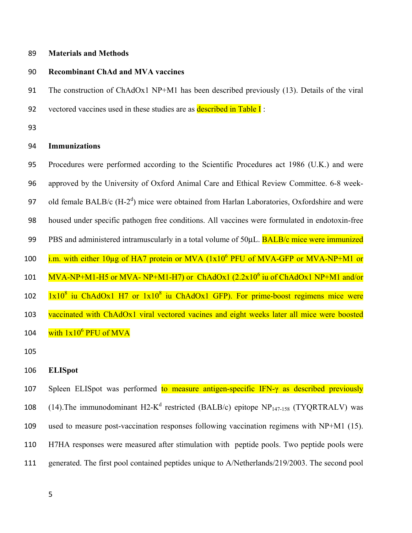#### ΒΓ **Materials and Methods**

### **90 Recombinant ChAd and MVA vaccines**

91 The construction of ChAdOx1 NP+M1 has been described previously (13). Details of the viral **92** vectored vaccines used in these studies are as **described in Table I**:

93

### Γヴ **Immunizations**

Γヵ Procedures were performed according to the Scientific Procedures act 1986 (U.K.) and were Γヶ approved by the University of Oxford Animal Care and Ethical Review Committee. 6-8 week-97 old female BALB/c  $(H-2<sup>d</sup>)$  mice were obtained from Harlan Laboratories, Oxfordshire and were 98 housed under specific pathogen free conditions. All vaccines were formulated in endotoxin-free **99** PBS and administered intramuscularly in a total volume of 50μL. **BALB/c mice were immunized** 100 i.m. with either 10μg of HA7 protein or MVA (1x10<sup>6</sup> PFU of MVA-GFP or MVA-NP+M1 or 101 MVA-NP+M1-H5 or MVA- NP+M1-H7) or ChAdOx1 (2.2x10<sup>6</sup> iu of ChAdOx1 NP+M1 and/or 1x10<sup>8</sup> iu ChAdOx1 H7 or 1x10<sup>8</sup> ヱヰヲ iu ChAdOx1 GFP). For prime-boost regimens mice were 103 vaccinated with ChAdOx1 viral vectored vacines and eight weeks later all mice were boosted 104  $\frac{\text{with }1 \times 10^6 \text{ PFU of MVA}}{1000 \text{ PFU of MVA}}$ 

105

### 106 **ELISpot**

107 Spleen ELISpot was performed to measure antigen-specific IFN- $\gamma$  as described previously 108 (14). The immunodominant H2- $K^d$  restricted (BALB/c) epitope NP<sub>147-158</sub> (TYQRTRALV) was 109 used to measure post-vaccination responses following vaccination regimens with NP+M1 (15). 110 H7HA responses were measured after stimulation with peptide pools. Two peptide pools were 111 generated. The first pool contained peptides unique to A/Netherlands/219/2003. The second pool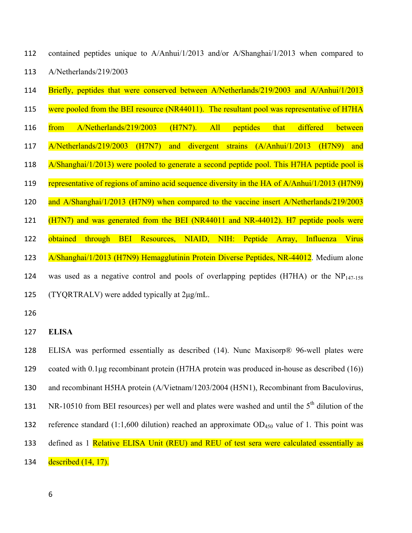- 112 contained peptides unique to A/Anhui/1/2013 and/or A/Shanghai/1/2013 when compared to 113 A/Netherlands/219/2003
- 114 Briefly, peptides that were conserved between A/Netherlands/219/2003 and A/Anhui/1/2013
- 115 were pooled from the BEI resource (NR44011). The resultant pool was representative of H7HA
- 116 from A/Netherlands/219/2003 (H7N7). All peptides that differed between ヱヱΑ A/Netherlands/219/2003 (H7N7) and divergent strains (A/Anhui/1/2013 (H7N9) and
- 118 A/Shanghai/1/2013) were pooled to generate a second peptide pool. This H7HA peptide pool is
- 119 representative of regions of amino acid sequence diversity in the HA of A/Anhui/1/2013 (H7N9)
- 120 and A/Shanghai/1/2013 (H7N9) when compared to the vaccine insert A/Netherlands/219/2003

121 (H7N7) and was generated from the BEI (NR44011 and NR-44012). H7 peptide pools were

123 A/Shanghai/1/2013 (H7N9) Hemagglutinin Protein Diverse Peptides, NR-44012. Medium alone

122 obtained through BEI Resources, NIAID, NIH: Peptide Array, Influenza Virus

- 124 was used as a negative control and pools of overlapping peptides (H7HA) or the NP<sub>147-158</sub>  $125$  (TYQRTRALV) were added typically at  $2\mu\text{g/mL}$ .
- 126
- **127 ELISA**

128 ELISA was performed essentially as described (14). Nunc Maxisorp<sup>®</sup> 96-well plates were 129 coated with  $0.1\mu$ g recombinant protein (H7HA protein was produced in-house as described (16)) 130 and recombinant H5HA protein (A/Vietnam/1203/2004 (H5N1), Recombinant from Baculovirus, 131 NR-10510 from BEI resources) per well and plates were washed and until the 5<sup>th</sup> dilution of the 132 reference standard (1:1,600 dilution) reached an approximate  $OD_{450}$  value of 1. This point was 133 defined as 1 Relative ELISA Unit (REU) and REU of test sera were calculated essentially as 134 described  $(14, 17)$ .

ヶ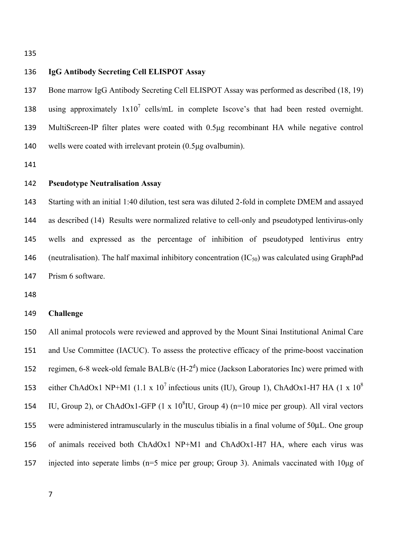135

### 136 **IgG Antibody Secreting Cell ELISPOT Assay**

137 Bone marrow IgG Antibody Secreting Cell ELISPOT Assay was performed as described (18, 19) 138 using approximately  $1x10^7$  cells/mL in complete Iscove's that had been rested overnight. 139 MultiScreen-IP filter plates were coated with 0.5μg recombinant HA while negative control  $140$  wells were coated with irrelevant protein  $(0.5\mu g)$  ovalbumin).

141

### **142 Pseudotype Neutralisation Assay**

143 Starting with an initial 1:40 dilution, test sera was diluted 2-fold in complete DMEM and assayed 144 as described (14) Results were normalized relative to cell-only and pseudotyped lentivirus-only 145 wells and expressed as the percentage of inhibition of pseudotyped lentivirus entry 146 (neutralisation). The half maximal inhibitory concentration  $(IC_{50})$  was calculated using GraphPad 147 Prism 6 software.

148

#### 149 **Challenge**

150 All animal protocols were reviewed and approved by the Mount Sinai Institutional Animal Care 151 and Use Committee (IACUC). To assess the protective efficacy of the prime-boost vaccination 152 regimen, 6-8 week-old female BALB/c  $(H-2<sup>d</sup>)$  mice (Jackson Laboratories Inc) were primed with either ChAdOx1 NP+M1 (1.1 x  $10^7$  infectious units (IU), Group 1), ChAdOx1-H7 HA (1 x  $10^8$ 153 154 IU, Group 2), or ChAdOx1-GFP  $(1 \times 10^8$ IU, Group 4) (n=10 mice per group). All viral vectors  $155$  were administered intramuscularly in the musculus tibialis in a final volume of  $50\mu$ L. One group 156 of animals received both ChAdOx1 NP+M1 and ChAdOx1-H7 HA, where each virus was 157 injected into seperate limbs (n=5 mice per group; Group 3). Animals vaccinated with  $10\mu$ g of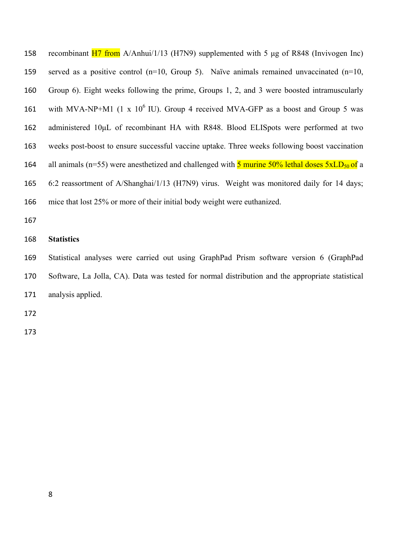158 recombinant H7 from A/Anhui/1/13 (H7N9) supplemented with 5 μg of R848 (Invivogen Inc) 159 served as a positive control (n=10, Group 5). Naïve animals remained unvaccinated (n=10, 160 Group 6). Eight weeks following the prime, Groups 1, 2, and 3 were boosted intramuscularly 161 with MVA-NP+M1 (1 x  $10^6$  IU). Group 4 received MVA-GFP as a boost and Group 5 was 162 administered 10μL of recombinant HA with R848. Blood ELISpots were performed at two 163 weeks post-boost to ensure successful vaccine uptake. Three weeks following boost vaccination 164 all animals (n=55) were anesthetized and challenged with  $\frac{5 \text{ murine } 50\% \text{ lethal doses } 5 \text{ xLD}_{50} \text{ of a}}{5 \text{ m}}$ 165 6:2 reassortment of A/Shanghai/1/13 (H7N9) virus. Weight was monitored daily for 14 days; 166 mice that lost 25% or more of their initial body weight were euthanized.

167

### 168 **Statistics**

ヱヶΓ Statistical analyses were carried out using GraphPad Prism software version 6 (GraphPad 170 Software, La Jolla, CA). Data was tested for normal distribution and the appropriate statistical 171 analysis applied.

Δ72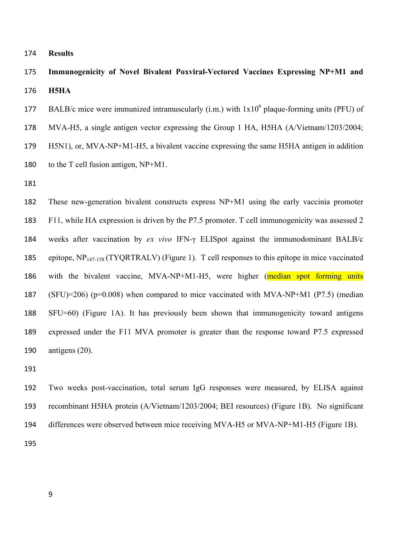- ヱΑヴ **Results**
- 175 Immunogenicity of Novel Bivalent Poxviral-Vectored Vaccines Expressing NP+M1 and **176 H5HA**
- 177 BALB/c mice were immunized intramuscularly (i.m.) with  $1x10^6$  plaque-forming units (PFU) of
- 178 MVA-H5, a single antigen vector expressing the Group 1 HA, H5HA (A/Vietnam/1203/2004;
- 179 H5N1), or, MVA-NP+M1-H5, a bivalent vaccine expressing the same H5HA antigen in addition 180 to the T cell fusion antigen,  $NP+M1$ .
- ヱΒヱ

182 These new-generation bivalent constructs express NP+M1 using the early vaccinia promoter 183 F11, while HA expression is driven by the P7.5 promoter. T cell immunogenicity was assessed 2 ヱΒヴ weeks after vaccination by *ex vivo* IFN-け ELISpot against the immunodominant BALB/c 185 epitope,  $NP<sub>147-158</sub> (TYQRTRALV)$  (Figure 1). T cell responses to this epitope in mice vaccinated 186 with the bivalent vaccine, MVA-NP+M1-H5, were higher (median spot forming units 187 (SFU)=206) ( $p=0.008$ ) when compared to mice vaccinated with MVA-NP+M1 (P7.5) (median 188 SFU=60) (Figure 1A). It has previously been shown that immunogenicity toward antigens 189 expressed under the F11 MVA promoter is greater than the response toward P7.5 expressed 190 antigens  $(20)$ .

191

192 Two weeks post-vaccination, total serum IgG responses were measured, by ELISA against 193 recombinant H5HA protein (A/Vietnam/1203/2004; BEI resources) (Figure 1B). No significant 194 differences were observed between mice receiving MVA-H5 or MVA-NP+M1-H5 (Figure 1B). **195**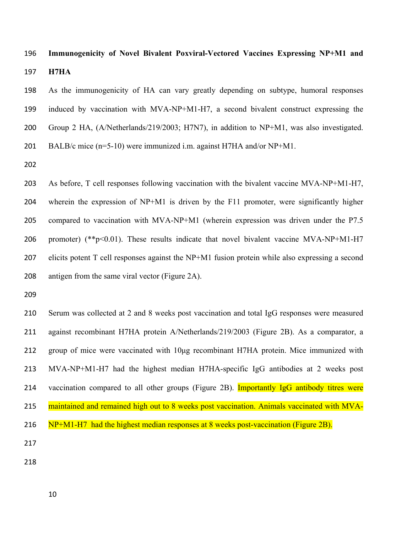### ヱΓヶ **Immunogenicity of Novel Bivalent Poxviral-Vectored Vaccines Expressing NP+M1 and**  ヱΓΑ **H7HA**

198 As the immunogenicity of HA can vary greatly depending on subtype, humoral responses 199 induced by vaccination with MVA-NP+M1-H7, a second bivalent construct expressing the 200 Group 2 HA, (A/Netherlands/219/2003; H7N7), in addition to NP+M1, was also investigated. 201 BALB/c mice  $(n=5-10)$  were immunized i.m. against H7HA and/or NP+M1.

**202** 

203 As before, T cell responses following vaccination with the bivalent vaccine  $MVA-NP+M1-H7$ , 204 wherein the expression of NP+M1 is driven by the F11 promoter, were significantly higher  $205$  compared to vaccination with MVA-NP+M1 (wherein expression was driven under the P7.5 206 promoter) (\*\*p<0.01). These results indicate that novel bivalent vaccine MVA-NP+M1-H7  $207$  elicits potent T cell responses against the NP+M1 fusion protein while also expressing a second  $208$  antigen from the same viral vector (Figure 2A).

**209** 

210 Serum was collected at 2 and 8 weeks post vaccination and total IgG responses were measured 211 against recombinant H7HA protein A/Netherlands/219/2003 (Figure 2B). As a comparator, a  $212$  group of mice were vaccinated with  $10\mu$ g recombinant H7HA protein. Mice immunized with 213 MVA-NP+M1-H7 had the highest median H7HA-specific IgG antibodies at 2 weeks post 214 vaccination compared to all other groups (Figure 2B). Importantly IgG antibody titres were 215 maintained and remained high out to 8 weeks post vaccination. Animals vaccinated with MVA- $216 \quad NP+M1-H7$  had the highest median responses at 8 weeks post-vaccination (Figure 2B). **217** 

ヲヱΒ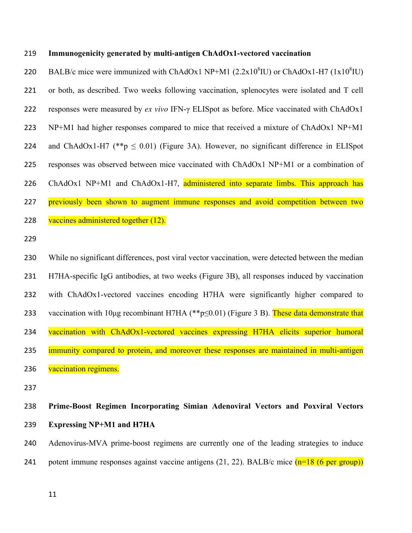#### ヲヱΓ **Immunogenicity generated by multi-antigen ChAdOx1-vectored vaccination**

220 BALB/c mice were immunized with ChAdOx1 NP+M1 (2.2x10 $^8$ IU) or ChAdOx1-H7 (1x10 $^8$ IU) 221 or both, as described. Two weeks following vaccination, splenocytes were isolated and T cell ヲヲヲ responses were measured by *ex vivo* IFN-け ELISpot as before. Mice vaccinated with ChAdOx1  $223$  NP+M1 had higher responses compared to mice that received a mixture of ChAdOx1 NP+M1 224 and ChAdOx1-H7 (\*\*p  $\leq$  0.01) (Figure 3A). However, no significant difference in ELISpot 225 responses was observed between mice vaccinated with  $ChAdOx1 NP+M1$  or a combination of 226 ChAdOx1 NP+M1 and ChAdOx1-H7, administered into separate limbs. This approach has 227 previously been shown to augment immune responses and avoid competition between two 228 vaccines administered together  $(12)$ .

229

230 While no significant differences, post viral vector vaccination, were detected between the median 231 H7HA-specific IgG antibodies, at two weeks (Figure 3B), all responses induced by vaccination 232 with ChAdOx1-vectored vaccines encoding H7HA were significantly higher compared to 233 vaccination with 10 µg recombinant H7HA (\*\*p $\leq$ 0.01) (Figure 3 B). These data demonstrate that 234 vaccination with ChAdOx1-vectored vaccines expressing H7HA elicits superior humoral 235 immunity compared to protein, and moreover these responses are maintained in multi-antigen 236 vaccination regimens.

237

## 238 Prime-Boost Regimen Incorporating Simian Adenoviral Vectors and Poxviral Vectors ヲンΓ **Expressing NP+M1 and H7HA**

240 Adenovirus-MVA prime-boost regimens are currently one of the leading strategies to induce 241 potent immune responses against vaccine antigens (21, 22). BALB/c mice  $(n=18 (6 \text{ per group}))$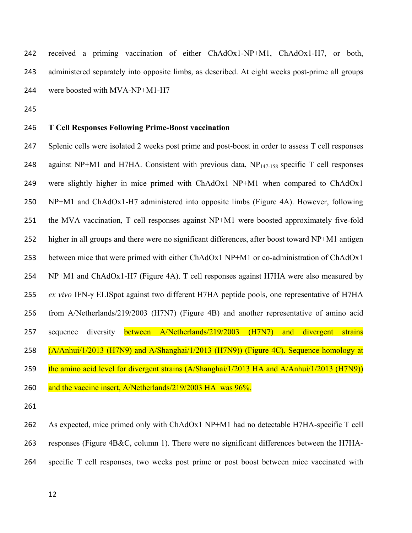242 received a priming vaccination of either ChAdOx1-NP+M1, ChAdOx1-H7, or both, 243 administered separately into opposite limbs, as described. At eight weeks post-prime all groups 244 were boosted with  $MVA-NP+M1-H7$ 

245

### 246 T Cell Responses Following Prime-Boost vaccination

ヲヴΑ Splenic cells were isolated 2 weeks post prime and post-boost in order to assess T cell responses 248 against NP+M1 and H7HA. Consistent with previous data,  $NP_{147-158}$  specific T cell responses 249 were slightly higher in mice primed with ChAdOx1 NP+M1 when compared to ChAdOx1 250 NP+M1 and ChAdOx1-H7 administered into opposite limbs (Figure 4A). However, following 251 the MVA vaccination, T cell responses against  $NP+M1$  were boosted approximately five-fold 252 higher in all groups and there were no significant differences, after boost toward NP+M1 antigen 253 between mice that were primed with either ChAdOx1 NP+M1 or co-administration of ChAdOx1 254 NP+M1 and ChAdOx1-H7 (Figure 4A). T cell responses against H7HA were also measured by ヲヵヵ *ex vivo* IFN-け ELISpot against two different H7HA peptide pools, one representative of H7HA ヲヵヶ from A/Netherlands/219/2003 (H7N7) (Figure 4B) and another representative of amino acid 257 sequence diversity **between A/Netherlands/219/2003 (H7N7) and divergent strains** 258 (A/Anhui/1/2013 (H7N9) and A/Shanghai/1/2013 (H7N9)) (Figure 4C). Sequence homology at 259 the amino acid level for divergent strains (A/Shanghai/1/2013 HA and A/Anhui/1/2013 (H7N9)) 260 and the vaccine insert, A/Netherlands/219/2003 HA was  $96\%$ .

261

262 As expected, mice primed only with ChAdOx1 NP+M1 had no detectable H7HA-specific T cell 263 responses (Figure 4B&C, column 1). There were no significant differences between the H7HA-264 specific T cell responses, two weeks post prime or post boost between mice vaccinated with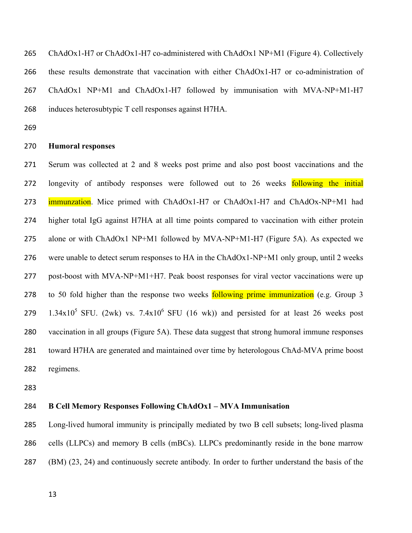$265$  ChAdOx1-H7 or ChAdOx1-H7 co-administered with ChAdOx1 NP+M1 (Figure 4). Collectively 266 these results demonstrate that vaccination with either ChAdOx1-H7 or co-administration of 267 ChAdOx1 NP+M1 and ChAdOx1-H7 followed by immunisation with MVA-NP+M1-H7 ヲヶΒ induces heterosubtypic T cell responses against H7HA.

ヲヶΓ

#### ヲΑヰ **Humoral responses**

ヲΑヱ Serum was collected at 2 and 8 weeks post prime and also post boost vaccinations and the 272 longevity of antibody responses were followed out to 26 weeks following the initial 273 immunzation. Mice primed with ChAdOx1-H7 or ChAdOx1-H7 and ChAdOx-NP+M1 had ヲΑヴ higher total IgG against H7HA at all time points compared to vaccination with either protein  $275$  alone or with ChAdOx1 NP+M1 followed by MVA-NP+M1-H7 (Figure 5A). As expected we 276 were unable to detect serum responses to HA in the ChAdOx1-NP+M1 only group, until 2 weeks 277 post-boost with MVA-NP+M1+H7. Peak boost responses for viral vector vaccinations were up 278 to 50 fold higher than the response two weeks following prime immunization (e.g. Group 3  $1.34x10^5$  SFU. (2wk) vs.  $7.4x10^6$  SFU (16 wk)) and persisted for at least 26 weeks post ヲΒヰ vaccination in all groups (Figure 5A). These data suggest that strong humoral immune responses 281 toward H7HA are generated and maintained over time by heterologous ChAd-MVA prime boost 282 regimens.

ヲΒン

### ヲΒヴ **B Cell Memory Responses Following ChAdOx1 – MVA Immunisation**

ヲΒヵ Long-lived humoral immunity is principally mediated by two B cell subsets; long-lived plasma 286 cells (LLPCs) and memory B cells (mBCs). LLPCs predominantly reside in the bone marrow ヲΒΑ (BM) (23, 24) and continuously secrete antibody*.* In order to further understand the basis of the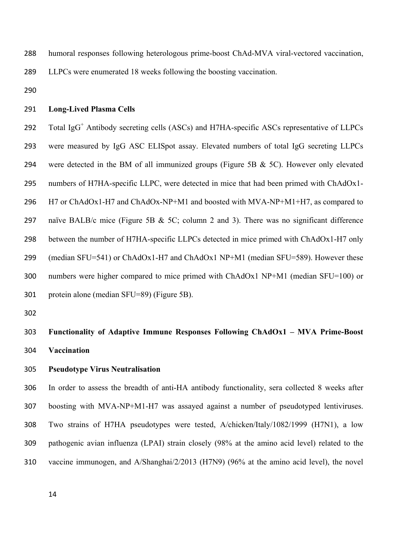- ヲΒΒ humoral responses following heterologous prime-boost ChAd-MVA viral-vectored vaccination,
- 289 LLPCs were enumerated 18 weeks following the boosting vaccination.
- 290

### ヲΓヱ **Long-Lived Plasma Cells**

292 Total IgG<sup>+</sup> Antibody secreting cells (ASCs) and H7HA-specific ASCs representative of LLPCs ヲΓン were measured by IgG ASC ELISpot assay. Elevated numbers of total IgG secreting LLPCs 294 were detected in the BM of all immunized groups (Figure 5B & 5C). However only elevated ヲΓヵ numbers of H7HA-specific LLPC, were detected in mice that had been primed with ChAdOx1- ヲΓヶ H7 or ChAdOx1-H7 and ChAdOx-NP+M1 and boosted with MVA-NP+M1+H7, as compared to 297 naïve BALB/c mice (Figure 5B & 5C; column 2 and 3). There was no significant difference ヲΓΒ between the number of H7HA-specific LLPCs detected in mice primed with ChAdOx1-H7 only 299 (median SFU=541) or ChAdOx1-H7 and ChAdOx1 NP+M1 (median SFU=589). However these 300 numbers were higher compared to mice primed with ChAdOx1 NP+M1 (median SFU=100) or 301 protein alone (median SFU=89) (Figure 5B).

302

303 **Functionality of Adaptive Immune Responses Following ChAdOx1 – MVA Prime-Boost** 304 **Vaccination** 

### **2008 • Pseudotype Virus Neutralisation**

306 In order to assess the breadth of anti-HA antibody functionality, sera collected 8 weeks after 307 boosting with MVA-NP+M1-H7 was assayed against a number of pseudotyped lentiviruses. 308 Two strains of H7HA pseudotypes were tested, A/chicken/Italy/1082/1999 (H7N1), a low The pathogenic avian influenza (LPAI) strain closely (98% at the amino acid level) related to the 310 vaccine immunogen, and A/Shanghai/2/2013 (H7N9) (96% at the amino acid level), the novel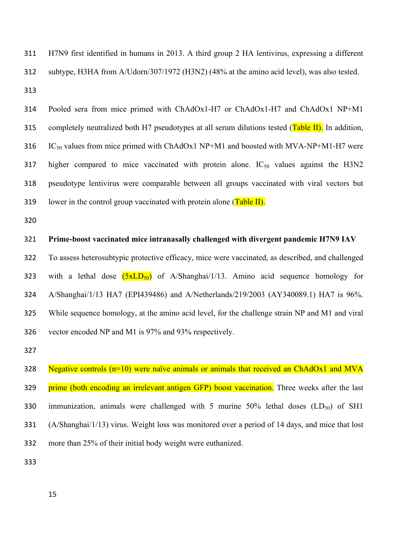311 H7N9 first identified in humans in 2013. A third group 2 HA lentivirus, expressing a different 312 subtype, H3HA from A/Udorn/307/1972 (H3N2) (48% at the amino acid level), was also tested.  $313$ 

314 Pooled sera from mice primed with ChAdOx1-H7 or ChAdOx1-H7 and ChAdOx1 NP+M1 315 completely neutralized both H7 pseudotypes at all serum dilutions tested (Table II). In addition,  $316$  IC<sub>50</sub> values from mice primed with ChAdOx1 NP+M1 and boosted with MVA-NP+M1-H7 were 317 higher compared to mice vaccinated with protein alone.  $IC_{50}$  values against the H3N2 318 pseudotype lentivirus were comparable between all groups vaccinated with viral vectors but 319 lower in the control group vaccinated with protein alone (Table II).

320

#### **221 Prime-boost vaccinated mice intranasally challenged with divergent pandemic H7N9 IAV**

322 To assess heterosubtypic protective efficacy, mice were vaccinated, as described, and challenged 323 with a lethal dose  $(5xLD_{50})$  of A/Shanghai/1/13. Amino acid sequence homology for 324 A/Shanghai/1/13 HA7 (EPI439486) and A/Netherlands/219/2003 (AY340089.1) HA7 is 96%. 325 While sequence homology, at the amino acid level, for the challenge strain NP and M1 and viral 326 vector encoded NP and M1 is 97% and 93% respectively.

327

328 Negative controls ( $n=10$ ) were naïve animals or animals that received an ChAdOx1 and MVA **329** • **prime (both encoding an irrelevant antigen GFP) boost vaccination. Three weeks after the last** 330 immunization, animals were challenged with 5 murine 50% lethal doses  $(LD_{50})$  of SH1  $331$  (A/Shanghai/1/13) virus. Weight loss was monitored over a period of 14 days, and mice that lost 332 more than 25% of their initial body weight were euthanized.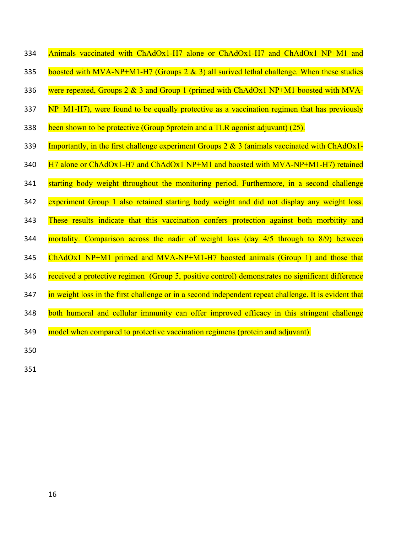- 334 Animals vaccinated with ChAdOx1-H7 alone or ChAdOx1-H7 and ChAdOx1 NP+M1 and
- 335 boosted with MVA-NP+M1-H7 (Groups 2  $\&$  3) all surived lethal challenge. When these studies
- 336 were repeated, Groups 2 & 3 and Group 1 (primed with ChAdOx1 NP+M1 boosted with MVA-
- 337 NP+M1-H7), were found to be equally protective as a vaccination regimen that has previously
- 338 been shown to be protective (Group 5protein and a TLR agonist adjuvant) (25).
- 339 Importantly, in the first challenge experiment Groups 2  $\&$  3 (animals vaccinated with ChAdOx1-
- 340  $\text{H7}$  alone or ChAdOx1-H7 and ChAdOx1 NP+M1 and boosted with MVA-NP+M1-H7) retained
- 341 starting body weight throughout the monitoring period. Furthermore, in a second challenge
- 342 experiment Group 1 also retained starting body weight and did not display any weight loss.
- 343 These results indicate that this vaccination confers protection against both morbitity and
- 344 mortality. Comparison across the nadir of weight loss (day  $4/5$  through to  $8/9$ ) between
- 345 ChAdOx1 NP+M1 primed and MVA-NP+M1-H7 boosted animals (Group 1) and those that
- 346 received a protective regimen (Group 5, positive control) demonstrates no significant difference
- 347 in weight loss in the first challenge or in a second independent repeat challenge. It is evident that
- 348 both humoral and cellular immunity can offer improved efficacy in this stringent challenge
- 349 model when compared to protective vaccination regimens (protein and adjuvant).
- 350
- 351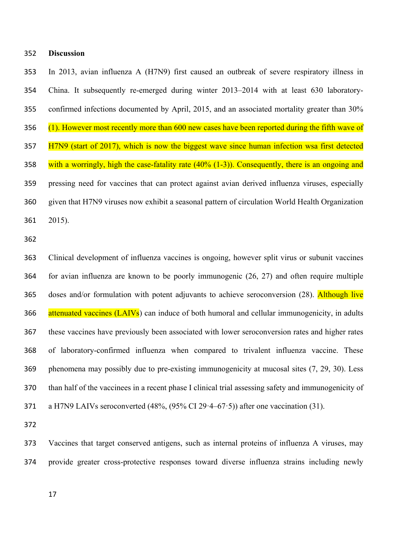### 352 **Discussion**

353 In 2013, avian influenza A (H7N9) first caused an outbreak of severe respiratory illness in 354 China. It subsequently re-emerged during winter 2013–2014 with at least 630 laboratory-355 confirmed infections documented by April, 2015, and an associated mortality greater than 30% 356  $(1)$ . However most recently more than 600 new cases have been reported during the fifth wave of 357 H7N9 (start of 2017), which is now the biggest wave since human infection wsa first detected 358 with a worringly, high the case-fatality rate  $(40\% (1-3))$ . Consequently, there is an ongoing and 359 pressing need for vaccines that can protect against avian derived influenza viruses, especially 360 given that H7N9 viruses now exhibit a seasonal pattern of circulation World Health Organization  $361$   $2015$ ).

362

363 Clinical development of influenza vaccines is ongoing, however split virus or subunit vaccines 364 for avian influenza are known to be poorly immunogenic  $(26, 27)$  and often require multiple 365 doses and/or formulation with potent adjuvants to achieve seroconversion (28). Although live 366 attenuated vaccines (LAIVs) can induce of both humoral and cellular immunogenicity, in adults 367 these vaccines have previously been associated with lower seroconversion rates and higher rates 368 of laboratory-confirmed influenza when compared to trivalent influenza vaccine. These 369 phenomena may possibly due to pre-existing immunogenicity at mucosal sites (7, 29, 30). Less 370 than half of the vaccinees in a recent phase I clinical trial assessing safety and immunogenicity of 371 a H7N9 LAIVs seroconverted  $(48\%, (95\% \text{ CI } 29.4-67.5))$  after one vaccination (31).

372

373 Vaccines that target conserved antigens, such as internal proteins of influenza A viruses, may 374 provide greater cross-protective responses toward diverse influenza strains including newly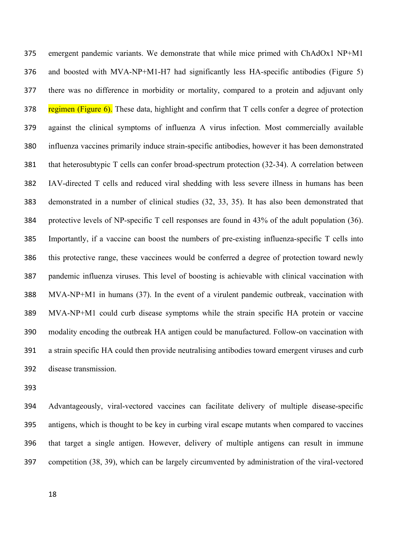ンΑヵ emergent pandemic variants. We demonstrate that while mice primed with ChAdOx1 NP+M1 Acceleration and boosted with MVA-NP+M1-H7 had significantly less HA-specific antibodies (Figure 5) 377 there was no difference in morbidity or mortality, compared to a protein and adjuvant only 378 regimen (Figure 6). These data, highlight and confirm that T cells confer a degree of protection ンΑΓ against the clinical symptoms of influenza A virus infection. Most commercially available ンΒヰ influenza vaccines primarily induce strain-specific antibodies, however it has been demonstrated 381 that heterosubtypic T cells can confer broad-spectrum protection (32-34). A correlation between ンΒヲ IAV-directed T cells and reduced viral shedding with less severe illness in humans has been 383 demonstrated in a number of clinical studies (32, 33, 35). It has also been demonstrated that 384 protective levels of NP-specific T cell responses are found in 43% of the adult population  $(36)$ . ンΒヵ Importantly, if a vaccine can boost the numbers of pre-existing influenza-specific T cells into ンΒヶ this protective range, these vaccinees would be conferred a degree of protection toward newly ンΒΑ pandemic influenza viruses. This level of boosting is achievable with clinical vaccination with ンΒΒ MVA-NP+M1 in humans (37). In the event of a virulent pandemic outbreak, vaccination with ンΒΓ MVA-NP+M1 could curb disease symptoms while the strain specific HA protein or vaccine <u>F</u> 390 modality encoding the outbreak HA antigen could be manufactured. Follow-on vaccination with ンΓヱ a strain specific HA could then provide neutralising antibodies toward emergent viruses and curb 392 disease transmission.

393

ンΓヴ Advantageously, viral-vectored vaccines can facilitate delivery of multiple disease-specific ンΓヵ antigens, which is thought to be key in curbing viral escape mutants when compared to vaccines ンΓヶ that target a single antigen. However, delivery of multiple antigens can result in immune ンΓΑ competition (38, 39), which can be largely circumvented by administration of the viral-vectored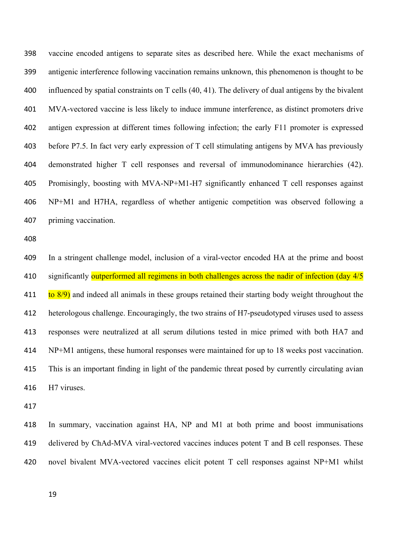398 vaccine encoded antigens to separate sites as described here. While the exact mechanisms of antigenic interference following vaccination remains unknown, this phenomenon is thought to be 399 400 influenced by spatial constraints on T cells (40, 41). The delivery of dual antigens by the bivalent 401 MVA-vectored vaccine is less likely to induce immune interference, as distinct promoters drive 402 antigen expression at different times following infection; the early F11 promoter is expressed 403 before P7.5. In fact very early expression of T cell stimulating antigens by MVA has previously demonstrated higher T cell responses and reversal of immunodominance hierarchies (42). 404 Promisingly, boosting with MVA-NP+M1-H7 significantly enhanced T cell responses against 405 406 NP+M1 and H7HA, regardless of whether antigenic competition was observed following a priming vaccination. 407

408

In a stringent challenge model, inclusion of a viral-vector encoded HA at the prime and boost 409 significantly outperformed all regimens in both challenges across the nadir of infection (day 4/5 410  $\frac{\pi}{6}$  ( $\frac{8}{9}$ ) and indeed all animals in these groups retained their starting body weight throughout the 411 412 heterologous challenge. Encouragingly, the two strains of H7-pseudotyped viruses used to assess responses were neutralized at all serum dilutions tested in mice primed with both HA7 and 413 NP+M1 antigens, these humoral responses were maintained for up to 18 weeks post vaccination. 414 415 This is an important finding in light of the pandemic threat posed by currently circulating avian 416 H7 viruses.

417

In summary, vaccination against HA, NP and M1 at both prime and boost immunisations 418 419 delivered by ChAd-MVA viral-vectored vaccines induces potent T and B cell responses. These 420 novel bivalent MVA-vectored vaccines elicit potent T cell responses against NP+M1 whilst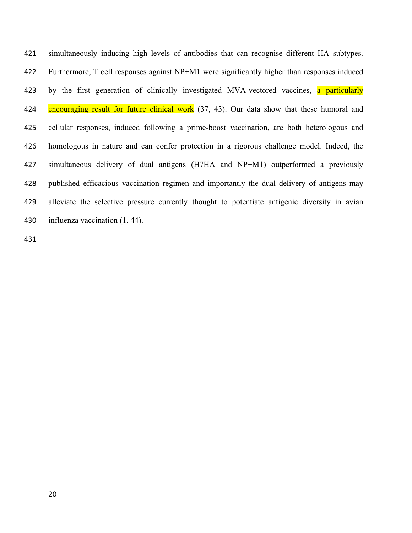421 simultaneously inducing high levels of antibodies that can recognise different HA subtypes. 422 Furthermore, T cell responses against NP+M1 were significantly higher than responses induced by the first generation of clinically investigated MVA-vectored vaccines, a particularly 423 424 encouraging result for future clinical work (37, 43). Our data show that these humoral and 425 cellular responses, induced following a prime-boost vaccination, are both heterologous and homologous in nature and can confer protection in a rigorous challenge model. Indeed, the 426 simultaneous delivery of dual antigens (H7HA and NP+M1) outperformed a previously 427 published efficacious vaccination regimen and importantly the dual delivery of antigens may 428 alleviate the selective pressure currently thought to potentiate antigenic diversity in avian 429 influenza vaccination (1, 44). 430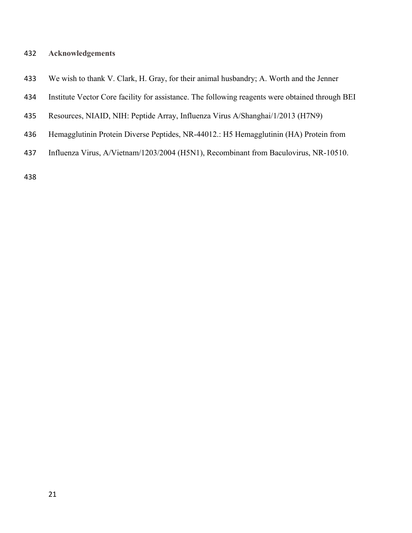### **432** Acknowledgements

- 433 We wish to thank V. Clark, H. Gray, for their animal husbandry; A. Worth and the Jenner
- 434 Institute Vector Core facility for assistance. The following reagents were obtained through BEI
- 435 Resources, NIAID, NIH: Peptide Array, Influenza Virus A/Shanghai/1/2013 (H7N9)
- 436 Hemagglutinin Protein Diverse Peptides, NR-44012.: H5 Hemagglutinin (HA) Protein from
- 437 Influenza Virus, A/Vietnam/1203/2004 (H5N1), Recombinant from Baculovirus, NR-10510.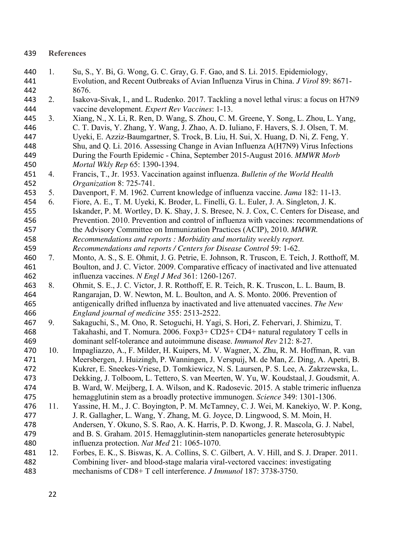| 440 | 1.  | Su, S., Y. Bi, G. Wong, G. C. Gray, G. F. Gao, and S. Li. 2015. Epidemiology,               |
|-----|-----|---------------------------------------------------------------------------------------------|
| 441 |     | Evolution, and Recent Outbreaks of Avian Influenza Virus in China. J Virol 89: 8671-        |
| 442 |     | 8676.                                                                                       |
| 443 | 2.  | Isakova-Sivak, I., and L. Rudenko. 2017. Tackling a novel lethal virus: a focus on H7N9     |
| 444 |     | vaccine development. Expert Rev Vaccines: 1-13.                                             |
| 445 | 3.  | Xiang, N., X. Li, R. Ren, D. Wang, S. Zhou, C. M. Greene, Y. Song, L. Zhou, L. Yang,        |
| 446 |     | C. T. Davis, Y. Zhang, Y. Wang, J. Zhao, A. D. Iuliano, F. Havers, S. J. Olsen, T. M.       |
| 447 |     | Uyeki, E. Azziz-Baumgartner, S. Trock, B. Liu, H. Sui, X. Huang, D. Ni, Z. Feng, Y.         |
| 448 |     | Shu, and Q. Li. 2016. Assessing Change in Avian Influenza A(H7N9) Virus Infections          |
| 449 |     | During the Fourth Epidemic - China, September 2015-August 2016. MMWR Morb                   |
| 450 |     | Mortal Wkly Rep 65: 1390-1394.                                                              |
| 451 | 4.  | Francis, T., Jr. 1953. Vaccination against influenza. Bulletin of the World Health          |
| 452 |     | Organization 8: 725-741.                                                                    |
| 453 | 5.  | Davenport, F. M. 1962. Current knowledge of influenza vaccine. Jama 182: 11-13.             |
| 454 | 6.  | Fiore, A. E., T. M. Uyeki, K. Broder, L. Finelli, G. L. Euler, J. A. Singleton, J. K.       |
| 455 |     | Iskander, P. M. Wortley, D. K. Shay, J. S. Bresee, N. J. Cox, C. Centers for Disease, and   |
| 456 |     | Prevention. 2010. Prevention and control of influenza with vaccines: recommendations of     |
| 457 |     | the Advisory Committee on Immunization Practices (ACIP), 2010. MMWR.                        |
| 458 |     | Recommendations and reports : Morbidity and mortality weekly report.                        |
| 459 |     | Recommendations and reports / Centers for Disease Control 59: 1-62.                         |
| 460 | 7.  | Monto, A. S., S. E. Ohmit, J. G. Petrie, E. Johnson, R. Truscon, E. Teich, J. Rotthoff, M.  |
| 461 |     | Boulton, and J. C. Victor. 2009. Comparative efficacy of inactivated and live attenuated    |
| 462 |     | influenza vaccines. N Engl J Med 361: 1260-1267.                                            |
| 463 | 8.  | Ohmit, S. E., J. C. Victor, J. R. Rotthoff, E. R. Teich, R. K. Truscon, L. L. Baum, B.      |
| 464 |     | Rangarajan, D. W. Newton, M. L. Boulton, and A. S. Monto. 2006. Prevention of               |
| 465 |     | antigenically drifted influenza by inactivated and live attenuated vaccines. The New        |
| 466 |     | England journal of medicine 355: 2513-2522.                                                 |
| 467 | 9.  | Sakaguchi, S., M. Ono, R. Setoguchi, H. Yagi, S. Hori, Z. Fehervari, J. Shimizu, T.         |
| 468 |     | Takahashi, and T. Nomura. 2006. Foxp3+ CD25+ CD4+ natural regulatory T cells in             |
| 469 |     | dominant self-tolerance and autoimmune disease. Immunol Rev 212: 8-27.                      |
| 470 | 10. | Impagliazzo, A., F. Milder, H. Kuipers, M. V. Wagner, X. Zhu, R. M. Hoffman, R. van         |
| 471 |     | Meersbergen, J. Huizingh, P. Wanningen, J. Verspuij, M. de Man, Z. Ding, A. Apetri, B.      |
| 472 |     | Kukrer, E. Sneekes-Vriese, D. Tomkiewicz, N. S. Laursen, P. S. Lee, A. Zakrzewska, L.       |
| 473 |     | Dekking, J. Tolboom, L. Tettero, S. van Meerten, W. Yu, W. Koudstaal, J. Goudsmit, A.       |
| 474 |     | B. Ward, W. Meijberg, I. A. Wilson, and K. Radosevic. 2015. A stable trimeric influenza     |
| 475 |     | hemagglutinin stem as a broadly protective immunogen. Science 349: 1301-1306.               |
| 476 | 11. | Yassine, H. M., J. C. Boyington, P. M. McTamney, C. J. Wei, M. Kanekiyo, W. P. Kong,        |
| 477 |     | J. R. Gallagher, L. Wang, Y. Zhang, M. G. Joyce, D. Lingwood, S. M. Moin, H.                |
| 478 |     | Andersen, Y. Okuno, S. S. Rao, A. K. Harris, P. D. Kwong, J. R. Mascola, G. J. Nabel,       |
| 479 |     | and B. S. Graham. 2015. Hemagglutinin-stem nanoparticles generate heterosubtypic            |
| 480 |     | influenza protection. Nat Med 21: 1065-1070.                                                |
| 481 | 12. | Forbes, E. K., S. Biswas, K. A. Collins, S. C. Gilbert, A. V. Hill, and S. J. Draper. 2011. |
| 482 |     | Combining liver- and blood-stage malaria viral-vectored vaccines: investigating             |

mechanisms of CD8+ T cell interference. *J Immunol* 187: 3738-3750. 483

**References**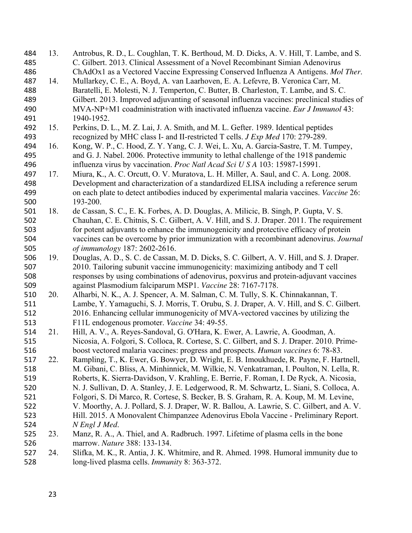| 484<br>485 | 13. | Antrobus, R. D., L. Coughlan, T. K. Berthoud, M. D. Dicks, A. V. Hill, T. Lambe, and S.<br>C. Gilbert. 2013. Clinical Assessment of a Novel Recombinant Simian Adenovirus |
|------------|-----|---------------------------------------------------------------------------------------------------------------------------------------------------------------------------|
| 486        |     | ChAdOx1 as a Vectored Vaccine Expressing Conserved Influenza A Antigens. Mol Ther.                                                                                        |
| 487        | 14. | Mullarkey, C. E., A. Boyd, A. van Laarhoven, E. A. Lefevre, B. Veronica Carr, M.                                                                                          |
| 488        |     | Baratelli, E. Molesti, N. J. Temperton, C. Butter, B. Charleston, T. Lambe, and S. C.                                                                                     |
| 489        |     | Gilbert. 2013. Improved adjuvanting of seasonal influenza vaccines: preclinical studies of                                                                                |
| 490        |     | MVA-NP+M1 coadministration with inactivated influenza vaccine. Eur J Immunol 43:                                                                                          |
|            |     |                                                                                                                                                                           |
| 491        |     | 1940-1952.                                                                                                                                                                |
| 492        | 15. | Perkins, D. L., M. Z. Lai, J. A. Smith, and M. L. Gefter. 1989. Identical peptides                                                                                        |
| 493        |     | recognized by MHC class I- and II-restricted T cells. <i>J Exp Med</i> 170: 279-289.                                                                                      |
| 494        | 16. | Kong, W. P., C. Hood, Z. Y. Yang, C. J. Wei, L. Xu, A. Garcia-Sastre, T. M. Tumpey,                                                                                       |
| 495        |     | and G. J. Nabel. 2006. Protective immunity to lethal challenge of the 1918 pandemic                                                                                       |
| 496        |     | influenza virus by vaccination. Proc Natl Acad Sci U S A 103: 15987-15991.                                                                                                |
| 497        | 17. | Miura, K., A. C. Orcutt, O. V. Muratova, L. H. Miller, A. Saul, and C. A. Long. 2008.                                                                                     |
| 498        |     | Development and characterization of a standardized ELISA including a reference serum                                                                                      |
| 499        |     | on each plate to detect antibodies induced by experimental malaria vaccines. Vaccine 26:                                                                                  |
| 500        |     | 193-200.                                                                                                                                                                  |
| 501        | 18. | de Cassan, S. C., E. K. Forbes, A. D. Douglas, A. Milicic, B. Singh, P. Gupta, V. S.                                                                                      |
| 502        |     | Chauhan, C. E. Chitnis, S. C. Gilbert, A. V. Hill, and S. J. Draper. 2011. The requirement                                                                                |
| 503        |     | for potent adjuvants to enhance the immunogenicity and protective efficacy of protein                                                                                     |
| 504        |     | vaccines can be overcome by prior immunization with a recombinant adenovirus. Journal                                                                                     |
| 505        |     | of immunology 187: 2602-2616.                                                                                                                                             |
| 506        | 19. | Douglas, A. D., S. C. de Cassan, M. D. Dicks, S. C. Gilbert, A. V. Hill, and S. J. Draper.                                                                                |
| 507        |     | 2010. Tailoring subunit vaccine immunogenicity: maximizing antibody and T cell                                                                                            |
| 508        |     | responses by using combinations of adenovirus, poxvirus and protein-adjuvant vaccines                                                                                     |
| 509        |     | against Plasmodium falciparum MSP1. Vaccine 28: 7167-7178.                                                                                                                |
| 510        | 20. | Alharbi, N. K., A. J. Spencer, A. M. Salman, C. M. Tully, S. K. Chinnakannan, T.                                                                                          |
|            |     |                                                                                                                                                                           |
| 511        |     | Lambe, Y. Yamaguchi, S. J. Morris, T. Orubu, S. J. Draper, A. V. Hill, and S. C. Gilbert.                                                                                 |
| 512        |     | 2016. Enhancing cellular immunogenicity of MVA-vectored vaccines by utilizing the                                                                                         |
| 513        |     | F11L endogenous promoter. Vaccine 34: 49-55.                                                                                                                              |
| 514        | 21. | Hill, A. V., A. Reyes-Sandoval, G. O'Hara, K. Ewer, A. Lawrie, A. Goodman, A.                                                                                             |
| 515        |     | Nicosia, A. Folgori, S. Colloca, R. Cortese, S. C. Gilbert, and S. J. Draper. 2010. Prime-                                                                                |
| 516        |     | boost vectored malaria vaccines: progress and prospects. Human vaccines 6: 78-83.                                                                                         |
| 517        | 22. | Rampling, T., K. Ewer, G. Bowyer, D. Wright, E. B. Imoukhuede, R. Payne, F. Hartnell,                                                                                     |
| 518        |     | M. Gibani, C. Bliss, A. Minhinnick, M. Wilkie, N. Venkatraman, I. Poulton, N. Lella, R.                                                                                   |
| 519        |     | Roberts, K. Sierra-Davidson, V. Krahling, E. Berrie, F. Roman, I. De Ryck, A. Nicosia,                                                                                    |
| 520        |     | N. J. Sullivan, D. A. Stanley, J. E. Ledgerwood, R. M. Schwartz, L. Siani, S. Colloca, A.                                                                                 |
| 521        |     | Folgori, S. Di Marco, R. Cortese, S. Becker, B. S. Graham, R. A. Koup, M. M. Levine,                                                                                      |
| 522        |     |                                                                                                                                                                           |
| 523        |     | V. Moorthy, A. J. Pollard, S. J. Draper, W. R. Ballou, A. Lawrie, S. C. Gilbert, and A. V.                                                                                |
| 524        |     |                                                                                                                                                                           |
|            |     | Hill. 2015. A Monovalent Chimpanzee Adenovirus Ebola Vaccine - Preliminary Report.                                                                                        |
|            |     | N Engl J Med.                                                                                                                                                             |
| 525        | 23. | Manz, R. A., A. Thiel, and A. Radbruch. 1997. Lifetime of plasma cells in the bone                                                                                        |
| 526<br>527 | 24. | marrow. Nature 388: 133-134.<br>Slifka, M. K., R. Antia, J. K. Whitmire, and R. Ahmed. 1998. Humoral immunity due to                                                      |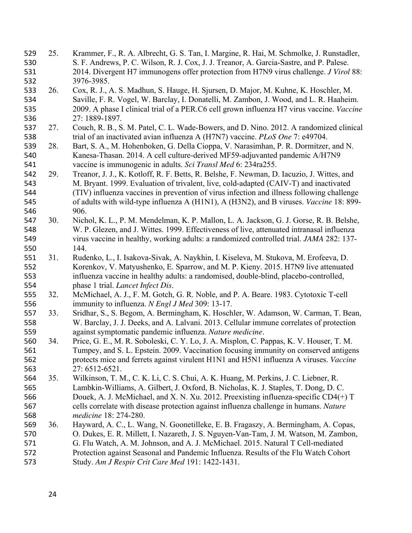25. Krammer, F., R. A. Albrecht, G. S. Tan, I. Margine, R. Hai, M. Schmolke, J. Runstadler, 529 530 S. F. Andrews, P. C. Wilson, R. J. Cox, J. J. Treanor, A. Garcia-Sastre, and P. Palese. 2014. Divergent H7 immunogens offer protection from H7N9 virus challenge. J Virol 88: 531 532 3976-3985. Cox, R. J., A. S. Madhun, S. Hauge, H. Sjursen, D. Major, M. Kuhne, K. Hoschler, M. 533 26. Saville, F. R. Vogel, W. Barclay, I. Donatelli, M. Zambon, J. Wood, and L. R. Haaheim. 534 2009. A phase I clinical trial of a PER.C6 cell grown influenza H7 virus vaccine. Vaccine 535 27: 1889-1897. 536 Couch, R. B., S. M. Patel, C. L. Wade-Bowers, and D. Nino. 2012. A randomized clinical 537 27. 538 trial of an inactivated avian influenza A (H7N7) vaccine. PLoS One 7: e49704. Bart, S. A., M. Hohenboken, G. Della Cioppa, V. Narasimhan, P. R. Dormitzer, and N. 539 28. Kanesa-Thasan. 2014. A cell culture-derived MF59-adjuvanted pandemic A/H7N9 540 vaccine is immunogenic in adults. Sci Transl Med 6: 234ra255. 541 29. Treanor, J. J., K. Kotloff, R. F. Betts, R. Belshe, F. Newman, D. Iacuzio, J. Wittes, and 542 M. Bryant. 1999. Evaluation of trivalent, live, cold-adapted (CAIV-T) and inactivated 543 (TIV) influenza vaccines in prevention of virus infection and illness following challenge 544 545 of adults with wild-type influenza A (H1N1), A (H3N2), and B viruses. Vaccine 18: 899-906. 546 Nichol, K. L., P. M. Mendelman, K. P. Mallon, L. A. Jackson, G. J. Gorse, R. B. Belshe, 547 30. W. P. Glezen, and J. Wittes. 1999. Effectiveness of live, attenuated intranasal influenza 548 virus vaccine in healthy, working adults: a randomized controlled trial. JAMA 282: 137-549 144. 550 31. Rudenko, L., I. Isakova-Sivak, A. Naykhin, I. Kiseleva, M. Stukova, M. Erofeeva, D. 551 Korenkov, V. Matyushenko, E. Sparrow, and M. P. Kieny. 2015. H7N9 live attenuated 552 influenza vaccine in healthy adults: a randomised, double-blind, placebo-controlled, 553 554 phase 1 trial. Lancet Infect Dis. 32. McMichael, A. J., F. M. Gotch, G. R. Noble, and P. A. Beare. 1983. Cytotoxic T-cell 555 556 immunity to influenza. N Engl J Med 309: 13-17. 557 33. Sridhar, S., S. Begom, A. Bermingham, K. Hoschler, W. Adamson, W. Carman, T. Bean, W. Barclay, J. J. Deeks, and A. Lalvani. 2013. Cellular immune correlates of protection 558 against symptomatic pandemic influenza. Nature medicine. 559 560 34. Price, G. E., M. R. Soboleski, C. Y. Lo, J. A. Misplon, C. Pappas, K. V. Houser, T. M. Tumpey, and S. L. Epstein. 2009. Vaccination focusing immunity on conserved antigens 561 protects mice and ferrets against virulent H1N1 and H5N1 influenza A viruses. Vaccine 562 27: 6512-6521. 563 Wilkinson, T. M., C. K. Li, C. S. Chui, A. K. Huang, M. Perkins, J. C. Liebner, R. 564 35. Lambkin-Williams, A. Gilbert, J. Oxford, B. Nicholas, K. J. Staples, T. Dong, D. C. 565 Douek, A. J. McMichael, and X. N. Xu. 2012. Preexisting influenza-specific CD4 $(+)$  T 566 567 cells correlate with disease protection against influenza challenge in humans. Nature medicine 18: 274-280. 568 Hayward, A. C., L. Wang, N. Goonetilleke, E. B. Fragaszy, A. Bermingham, A. Copas, 569 36. O. Dukes, E. R. Millett, I. Nazareth, J. S. Nguyen-Van-Tam, J. M. Watson, M. Zambon, 570 G. Flu Watch, A. M. Johnson, and A. J. McMichael. 2015. Natural T Cell-mediated 571 Protection against Seasonal and Pandemic Influenza. Results of the Flu Watch Cohort 572 573 Study. Am J Respir Crit Care Med 191: 1422-1431.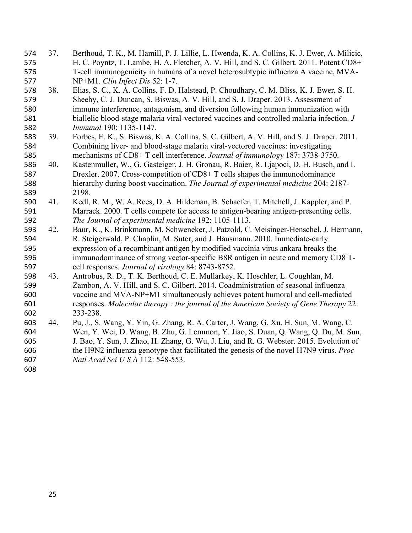- 574 37. Berthoud, T. K., M. Hamill, P. J. Lillie, L. Hwenda, K. A. Collins, K. J. Ewer, A. Milicic, 575 H. C. Poyntz, T. Lambe, H. A. Fletcher, A. V. Hill, and S. C. Gilbert. 2011. Potent CD8+ T-cell immunogenicity in humans of a novel heterosubtypic influenza A vaccine, MVA-576 577 NP+M1. Clin Infect Dis 52: 1-7.
- Elias, S. C., K. A. Collins, F. D. Halstead, P. Choudhary, C. M. Bliss, K. J. Ewer, S. H. 38. 578 Sheehy, C. J. Duncan, S. Biswas, A. V. Hill, and S. J. Draper. 2013. Assessment of 579 immune interference, antagonism, and diversion following human immunization with 580 biallelic blood-stage malaria viral-vectored vaccines and controlled malaria infection. J 581 582 *Immunol* 190: 1135-1147.
- 583 39. Forbes, E. K., S. Biswas, K. A. Collins, S. C. Gilbert, A. V. Hill, and S. J. Draper. 2011. Combining liver- and blood-stage malaria viral-vectored vaccines: investigating 584 mechanisms of CD8+ T cell interference. Journal of immunology 187: 3738-3750. 585
- Kastenmuller, W., G. Gasteiger, J. H. Gronau, R. Baier, R. Liapoci, D. H. Busch, and I. 586 40. Drexler. 2007. Cross-competition of CD8+ T cells shapes the immunodominance 587 hierarchy during boost vaccination. The Journal of experimental medicine 204: 2187-588 2198. 589
- 590 41. Kedl, R. M., W. A. Rees, D. A. Hildeman, B. Schaefer, T. Mitchell, J. Kappler, and P. Marrack. 2000. T cells compete for access to antigen-bearing antigen-presenting cells. 591 592 The Journal of experimental medicine 192: 1105-1113.
- Baur, K., K. Brinkmann, M. Schweneker, J. Patzold, C. Meisinger-Henschel, J. Hermann, 593 42. R. Steigerwald, P. Chaplin, M. Suter, and J. Hausmann. 2010. Immediate-early 594 expression of a recombinant antigen by modified vaccinia virus ankara breaks the 595 immunodominance of strong vector-specific B8R antigen in acute and memory CD8 T-596 cell responses. Journal of virology 84: 8743-8752. 597
- 598 43. Antrobus, R. D., T. K. Berthoud, C. E. Mullarkey, K. Hoschler, L. Coughlan, M. 599 Zambon, A. V. Hill, and S. C. Gilbert. 2014. Coadministration of seasonal influenza vaccine and MVA-NP+M1 simultaneously achieves potent humoral and cell-mediated 600 responses. Molecular therapy: the journal of the American Society of Gene Therapy 22: 601 602 233-238.
- 603 44. Pu, J., S. Wang, Y. Yin, G. Zhang, R. A. Carter, J. Wang, G. Xu, H. Sun, M. Wang, C. Wen, Y. Wei, D. Wang, B. Zhu, G. Lemmon, Y. Jiao, S. Duan, Q. Wang, Q. Du, M. Sun, 604 605 J. Bao, Y. Sun, J. Zhao, H. Zhang, G. Wu, J. Liu, and R. G. Webster, 2015. Evolution of the H9N2 influenza genotype that facilitated the genesis of the novel H7N9 virus. *Proc* 606 Natl Acad Sci U S A 112: 548-553. 607
- 608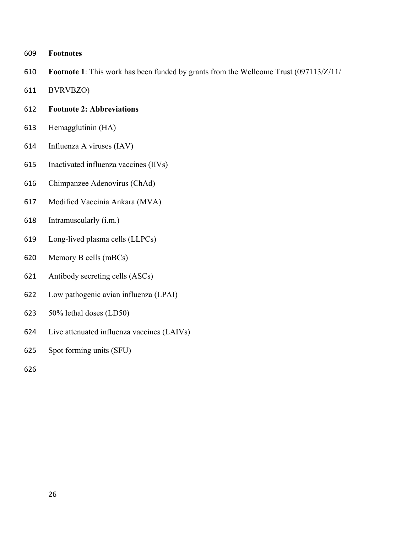### ヶヰΓ **Footnotes**

- 610 **Footnote 1**: This work has been funded by grants from the Wellcome Trust (097113/Z/11/
- 611 BVRVBZO)

### 612 **Footnote 2: Abbreviations**

- 613 Hemagglutinin (HA)
- 614 Influenza A viruses  $(IAV)$
- 615 Inactivated influenza vaccines (IIVs)
- 616 Chimpanzee Adenovirus (ChAd)
- 617 Modified Vaccinia Ankara (MVA)
- 618 Intramuscularly (i.m.)
- 619 Long-lived plasma cells (LLPCs)
- 620 Memory B cells (mBCs)
- 621 Antibody secreting cells (ASCs)
- 622 Low pathogenic avian influenza (LPAI)
- $623$  50% lethal doses (LD50)
- 624 Live attenuated influenza vaccines (LAIVs)
- 625 Spot forming units (SFU)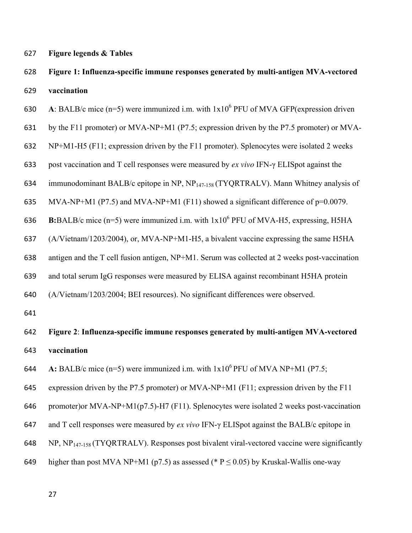627 **Figure legends & Tables** 

### 628 Figure 1: Influenza-specific immune responses generated by multi-antigen MVA-vectored 629 vaccination

630 A: BALB/c mice  $(n=5)$  were immunized i.m. with  $1x10^6$  PFU of MVA GFP(expression driven

631 by the F11 promoter) or MVA-NP+M1 (P7.5; expression driven by the P7.5 promoter) or MVA-

 $632 \quad \text{NP+M1-H5 (F11; expression driven by the F11 promoter). Splenocytes were isolated 2 weeks$ 

633 post vaccination and T cell responses were measured by *ex vivo* IFN-γ ELISpot against the

634 immunodominant BALB/c epitope in NP,  $NP<sub>147-158</sub> (TYQRTRALV)$ . Mann Whitney analysis of

635 MVA-NP+M1 (P7.5) and MVA-NP+M1 (F11) showed a significant difference of  $p=0.0079$ .

636 B:BALB/c mice  $(n=5)$  were immunized i.m. with  $1x10^6$  PFU of MVA-H5, expressing, H5HA

637 (A/Vietnam/1203/2004), or, MVA-NP+M1-H5, a bivalent vaccine expressing the same H5HA

638 antigen and the T cell fusion antigen, NP+M1. Serum was collected at 2 weeks post-vaccination

639 and total serum IgG responses were measured by ELISA against recombinant H5HA protein

 $640$  (A/Vietnam/1203/2004; BEI resources). No significant differences were observed.

641

- 642 **Figure 2: Influenza-specific immune responses generated by multi-antigen MVA-vectored** 643 **vaccination**
- 644 A: BALB/c mice  $(n=5)$  were immunized i.m. with  $1x10^6$  PFU of MVA NP+M1 (P7.5;

645 expression driven by the P7.5 promoter) or MVA-NP+M1 (F11; expression driven by the F11

646 promoter)or MVA-NP+M1(p7.5)-H7 (F11). Splenocytes were isolated 2 weeks post-vaccination

647 and T cell responses were measured by *ex vivo* IFN-γ ELISpot against the BALB/c epitope in

 $648 \text{ NP}, \text{NP}_{147-158} (\text{TYQRTRALV})$ . Responses post bivalent viral-vectored vaccine were significantly

649 higher than post MVA NP+M1 (p7.5) as assessed (\* P  $\leq$  0.05) by Kruskal-Wallis one-way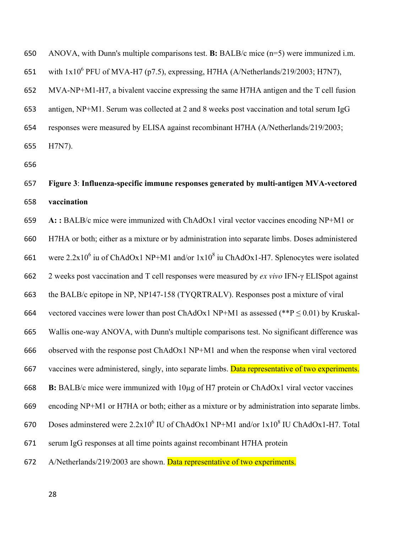650 ANOVA, with Dunn's multiple comparisons test. **B:** BALB/c mice (n=5) were immunized i.m.

651 with  $1x10^6$  PFU of MVA-H7 (p7.5), expressing, H7HA (A/Netherlands/219/2003; H7N7),

 $652$  MVA-NP+M1-H7, a bivalent vaccine expressing the same H7HA antigen and the T cell fusion

653 antigen, NP+M1. Serum was collected at 2 and 8 weeks post vaccination and total serum IgG

654 responses were measured by ELISA against recombinant H7HA (A/Netherlands/219/2003;

655 H7N7).

656

### ヶヵΑ **Figure 3**: **Influenza-specific immune responses generated by multi-antigen MVA-vectored**  658 vaccination

ヶヵΓ **A: :** BALB/c mice were immunized with ChAdOx1 viral vector vaccines encoding NP+M1 or 660 H7HA or both; either as a mixture or by administration into separate limbs. Doses administered 661 were  $2.2 \times 10^6$  iu of ChAdOx1 NP+M1 and/or  $1 \times 10^8$  iu ChAdOx1-H7. Splenocytes were isolated ヶヶヲ 2 weeks post vaccination and T cell responses were measured by *ex vivo* IFN-け ELISpot against 663 the BALB/c epitope in NP, NP147-158 (TYQRTRALV). Responses post a mixture of viral 664 vectored vaccines were lower than post ChAdOx1 NP+M1 as assessed (\*\*P  $\leq$  0.01) by Kruskal-665 Wallis one-way ANOVA, with Dunn's multiple comparisons test. No significant difference was 666 observed with the response post ChAdOx1 NP+M1 and when the response when viral vectored 667 vaccines were administered, singly, into separate limbs. Data representative of two experiments. ヶヶΒ **B:** BALB/c mice were immunized with 10µg of H7 protein or ChAdOx1 viral vector vaccines ヶヶΓ encoding NP+M1 or H7HA or both; either as a mixture or by administration into separate limbs. 670 Doses adminstered were  $2.2x10^6$  IU of ChAdOx1 NP+M1 and/or  $1x10^8$  IU ChAdOx1-H7. Total 671 serum IgG responses at all time points against recombinant H7HA protein 672 A/Netherlands/219/2003 are shown. Data representative of two experiments.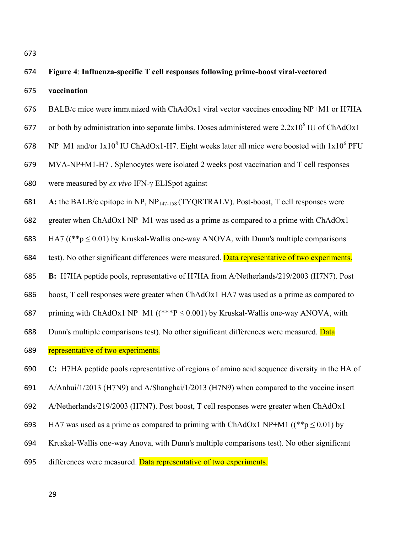| 674 | Figure 4: Influenza-specific T cell responses following prime-boost viral-vectored                       |
|-----|----------------------------------------------------------------------------------------------------------|
| 675 | vaccination                                                                                              |
| 676 | BALB/c mice were immunized with ChAdOx1 viral vector vaccines encoding NP+M1 or H7HA                     |
| 677 | or both by administration into separate limbs. Doses administered were 2.2x10 <sup>6</sup> IU of ChAdOx1 |
| 678 | NP+M1 and/or $1x10^8$ IU ChAdOx1-H7. Eight weeks later all mice were boosted with $1x10^6$ PFU           |
| 679 | MVA-NP+M1-H7. Splenocytes were isolated 2 weeks post vaccination and T cell responses                    |
| 680 | were measured by <i>ex vivo</i> IFN-γ ELISpot against                                                    |
| 681 | A: the BALB/c epitope in NP, $NP_{147-158}$ (TYQRTRALV). Post-boost, T cell responses were               |
| 682 | greater when ChAdOx1 NP+M1 was used as a prime as compared to a prime with ChAdOx1                       |
| 683 | HA7 ( $(*p \le 0.01)$ by Kruskal-Wallis one-way ANOVA, with Dunn's multiple comparisons                  |
| 684 | test). No other significant differences were measured. Data representative of two experiments.           |
| 685 | B: H7HA peptide pools, representative of H7HA from A/Netherlands/219/2003 (H7N7). Post                   |
| 686 | boost, T cell responses were greater when ChAdOx1 HA7 was used as a prime as compared to                 |
| 687 | priming with ChAdOx1 NP+M1 ( $(***P \le 0.001)$ by Kruskal-Wallis one-way ANOVA, with                    |
| 688 | Dunn's multiple comparisons test). No other significant differences were measured. Data                  |
| 689 | representative of two experiments.                                                                       |
| 690 | C: H7HA peptide pools representative of regions of amino acid sequence diversity in the HA of            |
| 691 | A/Anhui/1/2013 (H7N9) and A/Shanghai/1/2013 (H7N9) when compared to the vaccine insert                   |

- 692 A/Netherlands/219/2003 (H7N7). Post boost, T cell responses were greater when ChAdOx1
- 693 HA7 was used as a prime as compared to priming with ChAdOx1 NP+M1 ( $(*p \le 0.01)$  by
- ヶΓヴ Kruskal-Wallis one-way Anova, with Dunn's multiple comparisons test). No other significant
- 695 differences were measured. Data representative of two experiments.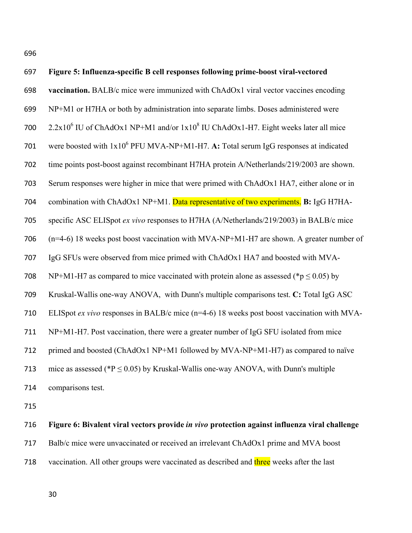ヶΓヶ

| 697 | Figure 5: Influenza-specific B cell responses following prime-boost viral-vectored            |
|-----|-----------------------------------------------------------------------------------------------|
| 698 | vaccination. BALB/c mice were immunized with ChAdOx1 viral vector vaccines encoding           |
| 699 | NP+M1 or H7HA or both by administration into separate limbs. Doses administered were          |
| 700 | $2.2x106$ IU of ChAdOx1 NP+M1 and/or $1x108$ IU ChAdOx1-H7. Eight weeks later all mice        |
| 701 | were boosted with $1x10^6$ PFU MVA-NP+M1-H7. A: Total serum IgG responses at indicated        |
| 702 | time points post-boost against recombinant H7HA protein A/Netherlands/219/2003 are shown.     |
| 703 | Serum responses were higher in mice that were primed with ChAdOx1 HA7, either alone or in     |
| 704 | combination with ChAdOx1 NP+M1. Data representative of two experiments. B: IgG H7HA-          |
| 705 | specific ASC ELISpot ex vivo responses to H7HA (A/Netherlands/219/2003) in BALB/c mice        |
| 706 | $(n=4-6)$ 18 weeks post boost vaccination with MVA-NP+M1-H7 are shown. A greater number of    |
| 707 | IgG SFUs were observed from mice primed with ChAdOx1 HA7 and boosted with MVA-                |
| 708 | NP+M1-H7 as compared to mice vaccinated with protein alone as assessed (*p $\leq$ 0.05) by    |
| 709 | Kruskal-Wallis one-way ANOVA, with Dunn's multiple comparisons test. C: Total IgG ASC         |
| 710 | ELISpot ex vivo responses in BALB/c mice $(n=4-6)$ 18 weeks post boost vaccination with MVA-  |
| 711 | NP+M1-H7. Post vaccination, there were a greater number of IgG SFU isolated from mice         |
| 712 | primed and boosted (ChAdOx1 NP+M1 followed by MVA-NP+M1-H7) as compared to naïve              |
| 713 | mice as assessed (* $P \le 0.05$ ) by Kruskal-Wallis one-way ANOVA, with Dunn's multiple      |
| 714 | comparisons test.                                                                             |
| 715 |                                                                                               |
| 716 | Figure 6: Bivalent viral vectors provide in vivo protection against influenza viral challenge |
| 717 | Balb/c mice were unvaccinated or received an irrelevant ChAdOx1 prime and MVA boost           |

718 vaccination. All other groups were vaccinated as described and three weeks after the last